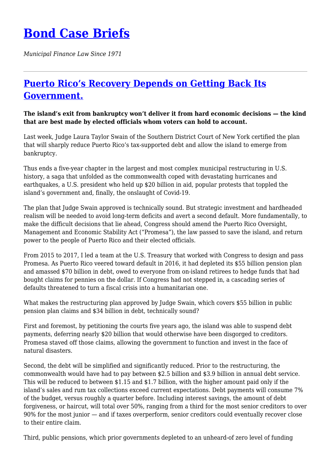## **[Bond Case Briefs](https://bondcasebriefs.com)**

*Municipal Finance Law Since 1971*

## **[Puerto Rico's Recovery Depends on Getting Back Its](https://bondcasebriefs.com/2022/02/01/news/puerto-ricos-recovery-depends-on-getting-back-its-government/) [Government.](https://bondcasebriefs.com/2022/02/01/news/puerto-ricos-recovery-depends-on-getting-back-its-government/)**

**The island's exit from bankruptcy won't deliver it from hard economic decisions — the kind that are best made by elected officials whom voters can hold to account.**

Last week, Judge Laura Taylor Swain of the Southern District Court of New York certified the plan that will sharply reduce Puerto Rico's tax-supported debt and allow the island to emerge from bankruptcy.

Thus ends a five-year chapter in the largest and most complex municipal restructuring in U.S. history, a saga that unfolded as the commonwealth coped with devastating hurricanes and earthquakes, a U.S. president who held up \$20 billion in aid, popular protests that toppled the island's government and, finally, the onslaught of Covid-19.

The plan that Judge Swain approved is technically sound. But strategic investment and hardheaded realism will be needed to avoid long-term deficits and avert a second default. More fundamentally, to make the difficult decisions that lie ahead, Congress should amend the Puerto Rico Oversight, Management and Economic Stability Act ("Promesa"), the law passed to save the island, and return power to the people of Puerto Rico and their elected officials.

From 2015 to 2017, I led a team at the U.S. Treasury that worked with Congress to design and pass Promesa. As Puerto Rico veered toward default in 2016, it had depleted its \$55 billion pension plan and amassed \$70 billion in debt, owed to everyone from on-island retirees to hedge funds that had bought claims for pennies on the dollar. If Congress had not stepped in, a cascading series of defaults threatened to turn a fiscal crisis into a humanitarian one.

What makes the restructuring plan approved by Judge Swain, which covers \$55 billion in public pension plan claims and \$34 billion in debt, technically sound?

First and foremost, by petitioning the courts five years ago, the island was able to suspend debt payments, deferring nearly \$20 billion that would otherwise have been disgorged to creditors. Promesa staved off those claims, allowing the government to function and invest in the face of natural disasters.

Second, the debt will be simplified and significantly reduced. Prior to the restructuring, the commonwealth would have had to pay between \$2.5 billion and \$3.9 billion in annual debt service. This will be reduced to between \$1.15 and \$1.7 billion, with the higher amount paid only if the island's sales and rum tax collections exceed current expectations. Debt payments will consume 7% of the budget, versus roughly a quarter before. Including interest savings, the amount of debt forgiveness, or haircut, will total over 50%, ranging from a third for the most senior creditors to over 90% for the most junior — and if taxes overperform, senior creditors could eventually recover close to their entire claim.

Third, public pensions, which prior governments depleted to an unheard-of zero level of funding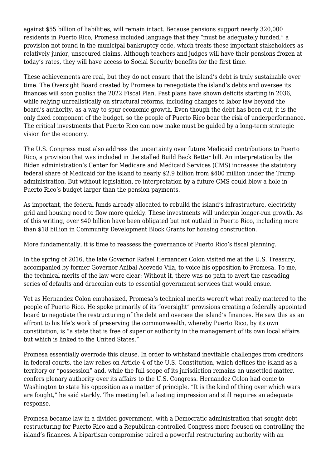against \$55 billion of liabilities, will remain intact. Because pensions support nearly 320,000 residents in Puerto Rico, Promesa included language that they "must be adequately funded," a provision not found in the municipal bankruptcy code, which treats these important stakeholders as relatively junior, unsecured claims. Although teachers and judges will have their pensions frozen at today's rates, they will have access to Social Security benefits for the first time.

These achievements are real, but they do not ensure that the island's debt is truly sustainable over time. The Oversight Board created by Promesa to renegotiate the island's debts and oversee its finances will soon publish the 2022 Fiscal Plan. Past plans have shown deficits starting in 2036, while relying unrealistically on structural reforms, including changes to labor law beyond the board's authority, as a way to spur economic growth. Even though the debt has been cut, it is the only fixed component of the budget, so the people of Puerto Rico bear the risk of underperformance. The critical investments that Puerto Rico can now make must be guided by a long-term strategic vision for the economy.

The U.S. Congress must also address the uncertainty over future Medicaid contributions to Puerto Rico, a provision that was included in the stalled Build Back Better bill. An interpretation by the Biden administration's Center for Medicare and Medicaid Services (CMS) increases the statutory federal share of Medicaid for the island to nearly \$2.9 billion from \$400 million under the Trump administration. But without legislation, re-interpretation by a future CMS could blow a hole in Puerto Rico's budget larger than the pension payments.

As important, the federal funds already allocated to rebuild the island's infrastructure, electricity grid and housing need to flow more quickly. These investments will underpin longer-run growth. As of this writing, over \$40 billion have been obligated but not outlaid in Puerto Rico, including more than \$18 billion in Community Development Block Grants for housing construction.

More fundamentally, it is time to reassess the governance of Puerto Rico's fiscal planning.

In the spring of 2016, the late Governor Rafael Hernandez Colon visited me at the U.S. Treasury, accompanied by former Governor Anibal Acevedo Vila, to voice his opposition to Promesa. To me, the technical merits of the law were clear: Without it, there was no path to avert the cascading series of defaults and draconian cuts to essential government services that would ensue.

Yet as Hernandez Colon emphasized, Promesa's technical merits weren't what really mattered to the people of Puerto Rico. He spoke primarily of its "oversight" provisions creating a federally appointed board to negotiate the restructuring of the debt and oversee the island's finances. He saw this as an affront to his life's work of preserving the commonwealth, whereby Puerto Rico, by its own constitution, is "a state that is free of superior authority in the management of its own local affairs but which is linked to the United States."

Promesa essentially overrode this clause. In order to withstand inevitable challenges from creditors in federal courts, the law relies on Article 4 of the U.S. Constitution, which defines the island as a territory or "possession" and, while the full scope of its jurisdiction remains an unsettled matter, confers plenary authority over its affairs to the U.S. Congress. Hernandez Colon had come to Washington to state his opposition as a matter of principle. "It is the kind of thing over which wars are fought," he said starkly. The meeting left a lasting impression and still requires an adequate response.

Promesa became law in a divided government, with a Democratic administration that sought debt restructuring for Puerto Rico and a Republican-controlled Congress more focused on controlling the island's finances. A bipartisan compromise paired a powerful restructuring authority with an